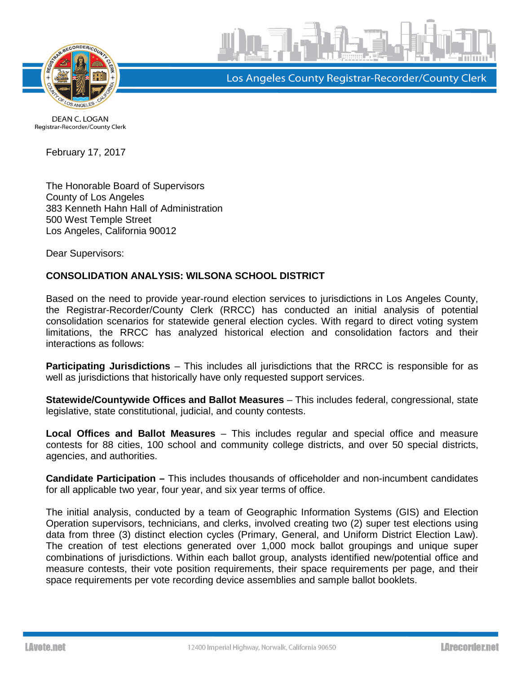



Los Angeles County Registrar-Recorder/County Clerk

**DEAN C. LOGAN** Registrar-Recorder/County Clerk

February 17, 2017

The Honorable Board of Supervisors County of Los Angeles 383 Kenneth Hahn Hall of Administration 500 West Temple Street Los Angeles, California 90012

Dear Supervisors:

## **CONSOLIDATION ANALYSIS: WILSONA SCHOOL DISTRICT**

Based on the need to provide year-round election services to jurisdictions in Los Angeles County, the Registrar-Recorder/County Clerk (RRCC) has conducted an initial analysis of potential consolidation scenarios for statewide general election cycles. With regard to direct voting system limitations, the RRCC has analyzed historical election and consolidation factors and their interactions as follows:

**Participating Jurisdictions** – This includes all jurisdictions that the RRCC is responsible for as well as jurisdictions that historically have only requested support services.

**Statewide/Countywide Offices and Ballot Measures** – This includes federal, congressional, state legislative, state constitutional, judicial, and county contests.

**Local Offices and Ballot Measures** – This includes regular and special office and measure contests for 88 cities, 100 school and community college districts, and over 50 special districts, agencies, and authorities.

**Candidate Participation –** This includes thousands of officeholder and non-incumbent candidates for all applicable two year, four year, and six year terms of office.

The initial analysis, conducted by a team of Geographic Information Systems (GIS) and Election Operation supervisors, technicians, and clerks, involved creating two (2) super test elections using data from three (3) distinct election cycles (Primary, General, and Uniform District Election Law). The creation of test elections generated over 1,000 mock ballot groupings and unique super combinations of jurisdictions. Within each ballot group, analysts identified new/potential office and measure contests, their vote position requirements, their space requirements per page, and their space requirements per vote recording device assemblies and sample ballot booklets.